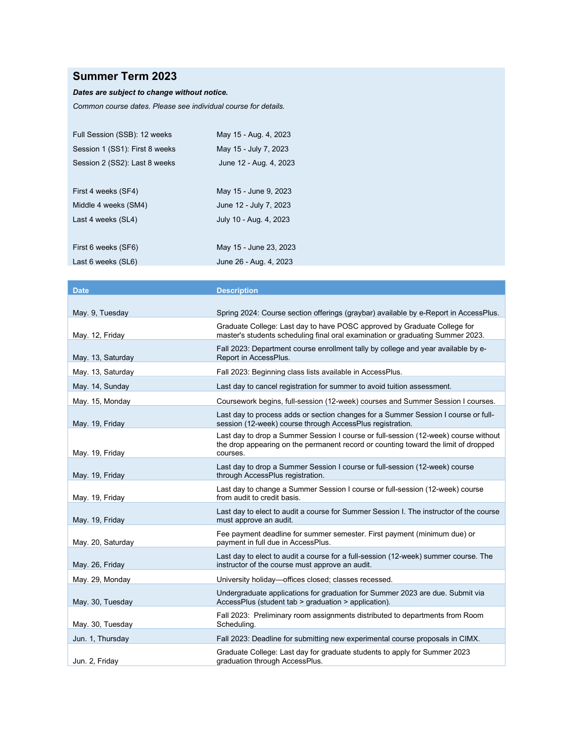## **Summer Term 2023**

## *Dates are subject to change without notice.*

*Common course dates. Please see individual course for details.*

| Full Session (SSB): 12 weeks   | May 15 - Aug. 4, 2023  |
|--------------------------------|------------------------|
| Session 1 (SS1): First 8 weeks | May 15 - July 7, 2023  |
| Session 2 (SS2): Last 8 weeks  | June 12 - Aug. 4, 2023 |
|                                |                        |
| First 4 weeks (SF4)            | May 15 - June 9, 2023  |
| Middle 4 weeks (SM4)           | June 12 - July 7, 2023 |
| Last 4 weeks (SL4)             | July 10 - Aug. 4, 2023 |
|                                |                        |
| First 6 weeks (SF6)            | May 15 - June 23, 2023 |
| Last 6 weeks (SL6)             | June 26 - Aug. 4, 2023 |

| <b>Date</b>       | <b>Description</b>                                                                                                                                                                    |
|-------------------|---------------------------------------------------------------------------------------------------------------------------------------------------------------------------------------|
|                   |                                                                                                                                                                                       |
| May. 9, Tuesday   | Spring 2024: Course section offerings (graybar) available by e-Report in AccessPlus.                                                                                                  |
| May. 12, Friday   | Graduate College: Last day to have POSC approved by Graduate College for<br>master's students scheduling final oral examination or graduating Summer 2023.                            |
| May. 13, Saturday | Fall 2023: Department course enrollment tally by college and year available by e-<br>Report in AccessPlus.                                                                            |
| May. 13, Saturday | Fall 2023: Beginning class lists available in AccessPlus.                                                                                                                             |
| May. 14, Sunday   | Last day to cancel registration for summer to avoid tuition assessment.                                                                                                               |
| May. 15, Monday   | Coursework begins, full-session (12-week) courses and Summer Session I courses.                                                                                                       |
| May. 19, Friday   | Last day to process adds or section changes for a Summer Session I course or full-<br>session (12-week) course through AccessPlus registration.                                       |
| May. 19, Friday   | Last day to drop a Summer Session I course or full-session (12-week) course without<br>the drop appearing on the permanent record or counting toward the limit of dropped<br>courses. |
| May. 19, Friday   | Last day to drop a Summer Session I course or full-session (12-week) course<br>through AccessPlus registration.                                                                       |
| May. 19, Friday   | Last day to change a Summer Session I course or full-session (12-week) course<br>from audit to credit basis.                                                                          |
| May. 19, Friday   | Last day to elect to audit a course for Summer Session I. The instructor of the course<br>must approve an audit.                                                                      |
| May. 20, Saturday | Fee payment deadline for summer semester. First payment (minimum due) or<br>payment in full due in AccessPlus.                                                                        |
| May. 26, Friday   | Last day to elect to audit a course for a full-session (12-week) summer course. The<br>instructor of the course must approve an audit.                                                |
| May. 29, Monday   | University holiday-offices closed; classes recessed.                                                                                                                                  |
| May. 30, Tuesday  | Undergraduate applications for graduation for Summer 2023 are due. Submit via<br>AccessPlus (student tab > graduation > application).                                                 |
| May. 30, Tuesday  | Fall 2023: Preliminary room assignments distributed to departments from Room<br>Scheduling.                                                                                           |
| Jun. 1, Thursday  | Fall 2023: Deadline for submitting new experimental course proposals in CIMX.                                                                                                         |
| Jun. 2, Friday    | Graduate College: Last day for graduate students to apply for Summer 2023<br>graduation through AccessPlus.                                                                           |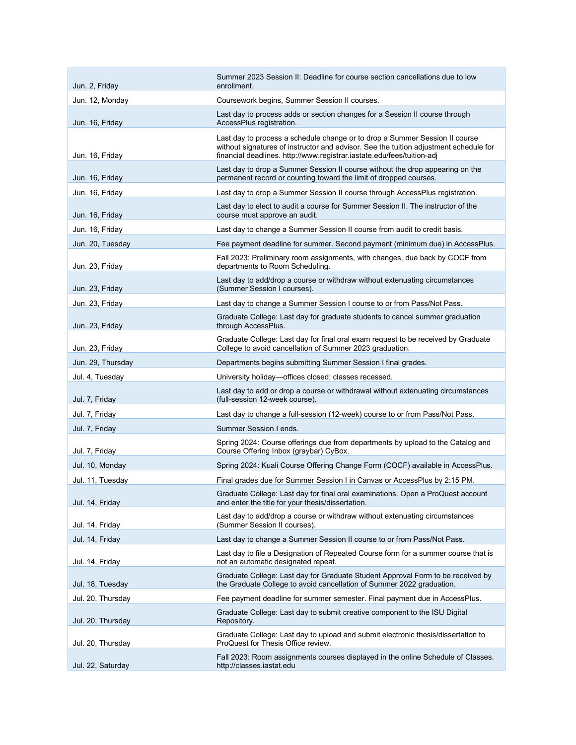| Jun. 2, Friday    | Summer 2023 Session II: Deadline for course section cancellations due to low<br>enrollment.                                                                                                                                                    |
|-------------------|------------------------------------------------------------------------------------------------------------------------------------------------------------------------------------------------------------------------------------------------|
| Jun. 12, Monday   | Coursework begins, Summer Session II courses.                                                                                                                                                                                                  |
| Jun. 16, Friday   | Last day to process adds or section changes for a Session II course through<br>AccessPlus registration.                                                                                                                                        |
| Jun. 16, Friday   | Last day to process a schedule change or to drop a Summer Session II course<br>without signatures of instructor and advisor. See the tuition adjustment schedule for<br>financial deadlines. http://www.registrar.iastate.edu/fees/tuition-adj |
| Jun. 16, Friday   | Last day to drop a Summer Session II course without the drop appearing on the<br>permanent record or counting toward the limit of dropped courses.                                                                                             |
| Jun. 16, Friday   | Last day to drop a Summer Session II course through AccessPlus registration.                                                                                                                                                                   |
| Jun. 16, Friday   | Last day to elect to audit a course for Summer Session II. The instructor of the<br>course must approve an audit.                                                                                                                              |
| Jun. 16, Friday   | Last day to change a Summer Session II course from audit to credit basis.                                                                                                                                                                      |
| Jun. 20, Tuesday  | Fee payment deadline for summer. Second payment (minimum due) in AccessPlus.                                                                                                                                                                   |
| Jun. 23, Friday   | Fall 2023: Preliminary room assignments, with changes, due back by COCF from<br>departments to Room Scheduling.                                                                                                                                |
| Jun. 23, Friday   | Last day to add/drop a course or withdraw without extenuating circumstances<br>(Summer Session I courses).                                                                                                                                     |
| Jun. 23, Friday   | Last day to change a Summer Session I course to or from Pass/Not Pass.                                                                                                                                                                         |
| Jun. 23, Friday   | Graduate College: Last day for graduate students to cancel summer graduation<br>through AccessPlus.                                                                                                                                            |
| Jun. 23, Friday   | Graduate College: Last day for final oral exam request to be received by Graduate<br>College to avoid cancellation of Summer 2023 graduation.                                                                                                  |
| Jun. 29, Thursday | Departments begins submitting Summer Session I final grades.                                                                                                                                                                                   |
| Jul. 4, Tuesday   | University holiday-offices closed; classes recessed.                                                                                                                                                                                           |
| Jul. 7, Friday    | Last day to add or drop a course or withdrawal without extenuating circumstances<br>(full-session 12-week course).                                                                                                                             |
| Jul. 7, Friday    | Last day to change a full-session (12-week) course to or from Pass/Not Pass.                                                                                                                                                                   |
| Jul. 7, Friday    | Summer Session I ends.                                                                                                                                                                                                                         |
| Jul. 7, Friday    | Spring 2024: Course offerings due from departments by upload to the Catalog and<br>Course Offering Inbox (graybar) CyBox.                                                                                                                      |
| Jul. 10, Monday   | Spring 2024: Kuali Course Offering Change Form (COCF) available in AccessPlus.                                                                                                                                                                 |
| Jul. 11, Tuesday  | Final grades due for Summer Session I in Canvas or AccessPlus by 2:15 PM.                                                                                                                                                                      |
| Jul. 14, Friday   | Graduate College: Last day for final oral examinations. Open a ProQuest account<br>and enter the title for your thesis/dissertation.                                                                                                           |
| Jul. 14, Friday   | Last day to add/drop a course or withdraw without extenuating circumstances<br>(Summer Session II courses).                                                                                                                                    |
| Jul. 14, Friday   | Last day to change a Summer Session II course to or from Pass/Not Pass.                                                                                                                                                                        |
| Jul. 14, Friday   | Last day to file a Designation of Repeated Course form for a summer course that is<br>not an automatic designated repeat.                                                                                                                      |
| Jul. 18, Tuesday  | Graduate College: Last day for Graduate Student Approval Form to be received by<br>the Graduate College to avoid cancellation of Summer 2022 graduation.                                                                                       |
| Jul. 20, Thursday | Fee payment deadline for summer semester. Final payment due in AccessPlus.                                                                                                                                                                     |
| Jul. 20, Thursday | Graduate College: Last day to submit creative component to the ISU Digital<br>Repository.                                                                                                                                                      |
| Jul. 20, Thursday | Graduate College: Last day to upload and submit electronic thesis/dissertation to<br>ProQuest for Thesis Office review.                                                                                                                        |
| Jul. 22, Saturday | Fall 2023: Room assignments courses displayed in the online Schedule of Classes.<br>http://classes.iastat.edu                                                                                                                                  |